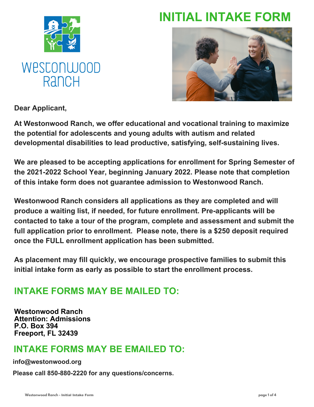

# **INITIAL INTAKE FORM**



**Dear Applicant,** 

**At Westonwood Ranch, we offer educational and vocational training to maximize the potential for adolescents and young adults with autism and related developmental disabilities to lead productive, satisfying, self-sustaining lives.** 

**We are pleased to be accepting applications for enrollment for Spring Semester of the 2021-2022 School Year, beginning January 2022. Please note that completion of this intake form does not guarantee admission to Westonwood Ranch.** 

**Westonwood Ranch considers all applications as they are completed and will produce a waiting list, if needed, for future enrollment. Pre-applicants will be contacted to take a tour of the program, complete and assessment and submit the full application prior to enrollment. Please note, there is a \$250 deposit required once the FULL enrollment application has been submitted.**

**As placement may fill quickly, we encourage prospective families to submit this initial intake form as early as possible to start the enrollment process.** 

## **INTAKE FORMS MAY BE MAILED TO:**

**Westonwood Ranch Attention: Admissions P.O. Box 394 Freeport, FL 32439**

## **INTAKE FORMS MAY BE EMAILED TO:**

**info@westonwood.org**

**Please call 850-880-2220 for any questions/concerns.**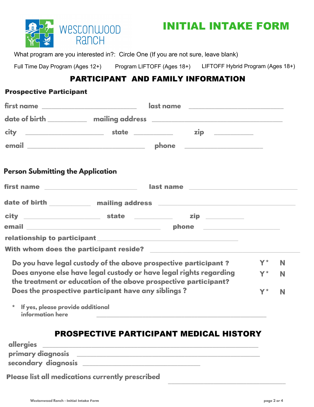



What program are you interested in?: Circle One (If you are not sure, leave blank)

Full Time Day Program (Ages 12+) Program LIFTOFF (Ages 18+) LIFTOFF Hybrid Program (Ages 18+)

#### PARTICIPANT AND FAMILY INFORMATION

#### Prospective Participant

|                                                                                                                                        | first name _________________________                                                                                  | <u>last name _________________________</u>                                                |       |   |
|----------------------------------------------------------------------------------------------------------------------------------------|-----------------------------------------------------------------------------------------------------------------------|-------------------------------------------------------------------------------------------|-------|---|
|                                                                                                                                        |                                                                                                                       |                                                                                           |       |   |
|                                                                                                                                        |                                                                                                                       |                                                                                           |       |   |
|                                                                                                                                        |                                                                                                                       |                                                                                           |       |   |
| <b>Person Submitting the Application</b>                                                                                               |                                                                                                                       |                                                                                           |       |   |
|                                                                                                                                        | first name <u>expression and the set of the set of the set of the set of the set of the set of the set of the set</u> | last name                                                                                 |       |   |
|                                                                                                                                        |                                                                                                                       | date of birth <b>notationally analling address and the contract of birth</b>              |       |   |
|                                                                                                                                        |                                                                                                                       |                                                                                           |       |   |
|                                                                                                                                        |                                                                                                                       |                                                                                           |       |   |
|                                                                                                                                        | relationship to participant expression of the contract of the contract of the contract of the contract of the         |                                                                                           |       |   |
|                                                                                                                                        |                                                                                                                       | With whom does the participant reside?                                                    |       |   |
| Do you have legal custody of the above prospective participant?                                                                        |                                                                                                                       |                                                                                           | $Y^*$ | N |
| Does anyone else have legal custody or have legal rights regarding<br>the treatment or education of the above prospective participant? |                                                                                                                       |                                                                                           | $Y^*$ | N |
|                                                                                                                                        | Does the prospective participant have any siblings?                                                                   |                                                                                           | $Y^*$ | N |
| If yes, please provide additional<br>$\star$<br>information here                                                                       |                                                                                                                       |                                                                                           |       |   |
|                                                                                                                                        |                                                                                                                       | <b>PROSPECTIVE PARTICIPANT MEDICAL HISTORY</b>                                            |       |   |
| <b>allergies</b>                                                                                                                       |                                                                                                                       | <u> 2000 - Andrea Angel and Amerikaansk politiker (* 1952)</u>                            |       |   |
| primary diagnosis                                                                                                                      |                                                                                                                       | the control of the control of the control of the control of the control of the control of |       |   |
| secondary diagnosis                                                                                                                    |                                                                                                                       |                                                                                           |       |   |

Pl**ease list all medications currently prescribed** 

**\_\_\_\_\_\_\_\_\_\_\_\_\_\_\_\_\_\_\_\_\_\_\_\_\_\_\_\_\_\_\_\_\_\_\_\_**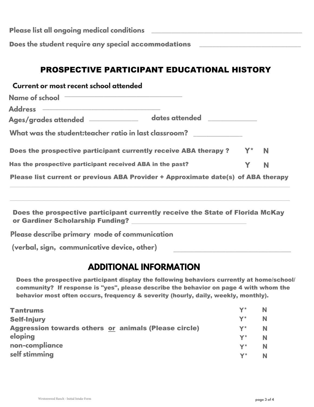| Please list all ongoing medical conditions          |  |
|-----------------------------------------------------|--|
| Does the student require any special accommodations |  |

### PROSPECTIVE PARTICIPANT EDUCATIONAL HISTORY

| Current or most recent school attended                                                                            |                                                                                                                                                                                                                                      |  |         |
|-------------------------------------------------------------------------------------------------------------------|--------------------------------------------------------------------------------------------------------------------------------------------------------------------------------------------------------------------------------------|--|---------|
| Name of school The Contract of School Contract of School Contract of School Contract of School Contract of School |                                                                                                                                                                                                                                      |  |         |
| Address —————————————<br>Ages/grades attended ___________                                                         | dates attended <u>and the series of the series of the series of the series of the series of the series of the series of the series of the series of the series of the series of the series of the series of the series of the se</u> |  |         |
| What was the student: teacher ratio in last classroom?                                                            |                                                                                                                                                                                                                                      |  |         |
| Does the prospective participant currently receive ABA therapy?                                                   |                                                                                                                                                                                                                                      |  | $Y^*$ N |
| Has the prospective participant received ABA in the past?                                                         |                                                                                                                                                                                                                                      |  | N       |
| Please list current or previous ABA Provider + Approximate date(s) of ABA therapy                                 |                                                                                                                                                                                                                                      |  |         |
|                                                                                                                   |                                                                                                                                                                                                                                      |  |         |

Does the prospective participant currently receive the State of Florida McKay or Gardiner Scholarship Funding?

\_\_\_\_\_\_\_\_\_\_\_\_\_\_\_\_\_\_\_\_\_\_\_\_\_\_\_\_\_\_\_\_\_\_\_\_\_\_\_\_\_\_\_\_\_\_\_\_\_\_\_\_\_\_\_\_\_\_\_\_\_\_\_\_\_\_\_\_\_\_\_\_\_\_\_\_\_\_\_\_\_\_\_\_\_\_\_\_\_\_\_

**Please describe primary mode of communication** 

**(verbal, sign, communicative device, other) \_\_\_\_\_\_\_\_\_\_\_\_\_\_\_\_\_\_\_\_\_\_\_\_\_\_\_\_\_\_\_\_\_\_\_\_**

## **ADDITIONAL INFORMATION**

Does the prospective participant display the following behaviors currently at home/school/ community? If response is "yes", please describe the behavior on page 4 with whom the behavior most often occurs, frequency & severity (hourly, daily, weekly, monthly).

| <b>Tantrums</b>                                             | $\mathbf{Y}^{\star}$ | N. |
|-------------------------------------------------------------|----------------------|----|
| <b>Self-Injury</b>                                          | $\mathbf{Y}^{\star}$ | N. |
| <b>Aggression towards others or animals (Please circle)</b> | $\mathbf{Y}^{\star}$ | N  |
| eloping                                                     | $\mathbf{Y}^{\star}$ | N. |
| non-compliance                                              | $\mathbf{Y}^{\star}$ | N. |
| self stimming                                               | $\mathbf{Y}^{\star}$ | N  |